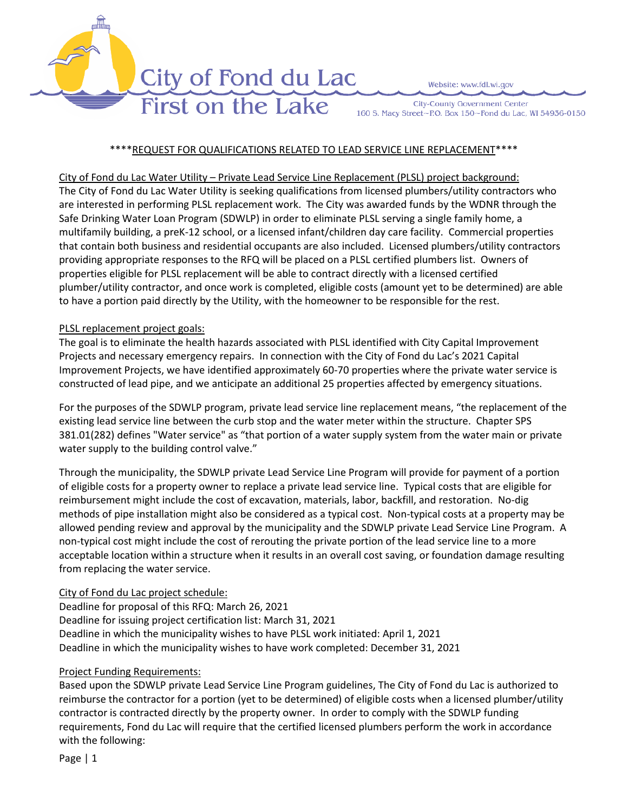

Website: www.fdl.wi.gov

**City-County Government Center** 160 S. Macy Street~P.O. Box 150~Fond du Lac, WI 54936-0150

#### \*\*\*\*REQUEST FOR QUALIFICATIONS RELATED TO LEAD SERVICE LINE REPLACEMENT\*\*\*\*

#### City of Fond du Lac Water Utility – Private Lead Service Line Replacement (PLSL) project background:

The City of Fond du Lac Water Utility is seeking qualifications from licensed plumbers/utility contractors who are interested in performing PLSL replacement work. The City was awarded funds by the WDNR through the Safe Drinking Water Loan Program (SDWLP) in order to eliminate PLSL serving a single family home, a multifamily building, a preK-12 school, or a licensed infant/children day care facility. Commercial properties that contain both business and residential occupants are also included. Licensed plumbers/utility contractors providing appropriate responses to the RFQ will be placed on a PLSL certified plumbers list. Owners of properties eligible for PLSL replacement will be able to contract directly with a licensed certified plumber/utility contractor, and once work is completed, eligible costs (amount yet to be determined) are able to have a portion paid directly by the Utility, with the homeowner to be responsible for the rest.

#### PLSL replacement project goals:

The goal is to eliminate the health hazards associated with PLSL identified with City Capital Improvement Projects and necessary emergency repairs. In connection with the City of Fond du Lac's 2021 Capital Improvement Projects, we have identified approximately 60-70 properties where the private water service is constructed of lead pipe, and we anticipate an additional 25 properties affected by emergency situations.

For the purposes of the SDWLP program, private lead service line replacement means, "the replacement of the existing lead service line between the curb stop and the water meter within the structure. Chapter SPS 381.01(282) defines "Water service" as "that portion of a water supply system from the water main or private water supply to the building control valve."

Through the municipality, the SDWLP private Lead Service Line Program will provide for payment of a portion of eligible costs for a property owner to replace a private lead service line. Typical costs that are eligible for reimbursement might include the cost of excavation, materials, labor, backfill, and restoration. No-dig methods of pipe installation might also be considered as a typical cost. Non-typical costs at a property may be allowed pending review and approval by the municipality and the SDWLP private Lead Service Line Program. A non-typical cost might include the cost of rerouting the private portion of the lead service line to a more acceptable location within a structure when it results in an overall cost saving, or foundation damage resulting from replacing the water service.

# City of Fond du Lac project schedule:

Deadline for proposal of this RFQ: March 26, 2021 Deadline for issuing project certification list: March 31, 2021 Deadline in which the municipality wishes to have PLSL work initiated: April 1, 2021 Deadline in which the municipality wishes to have work completed: December 31, 2021

# Project Funding Requirements:

Based upon the SDWLP private Lead Service Line Program guidelines, The City of Fond du Lac is authorized to reimburse the contractor for a portion (yet to be determined) of eligible costs when a licensed plumber/utility contractor is contracted directly by the property owner. In order to comply with the SDWLP funding requirements, Fond du Lac will require that the certified licensed plumbers perform the work in accordance with the following:

Page | 1